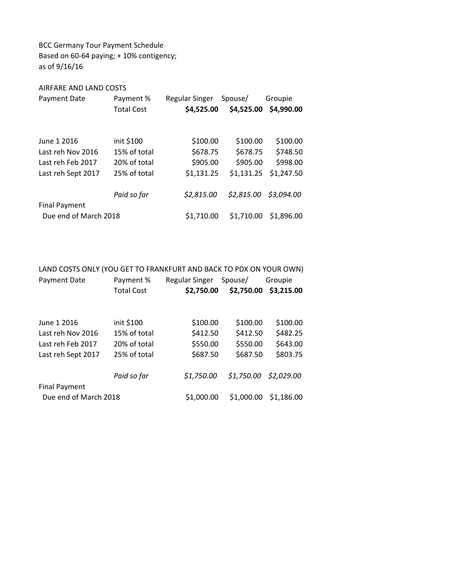BCC Germany Tour Payment Schedule Based on 60-64 paying; + 10% contigency; as of 9/16/16

## AIRFARE AND LAND COSTS

| Payment Date          | Payment %         | Regular Singer | Spouse/    | Groupie               |
|-----------------------|-------------------|----------------|------------|-----------------------|
|                       | <b>Total Cost</b> | \$4,525.00     | \$4,525.00 | \$4,990.00            |
|                       |                   |                |            |                       |
|                       |                   |                |            |                       |
| June 1 2016           | init \$100        | \$100.00       | \$100.00   | \$100.00              |
| Last reh Nov 2016     | 15% of total      | \$678.75       | \$678.75   | \$748.50              |
| Last reh Feb 2017     | 20% of total      | \$905.00       | \$905.00   | \$998.00              |
| Last reh Sept 2017    | 25% of total      | \$1,131.25     | \$1,131.25 | \$1,247.50            |
|                       |                   |                |            |                       |
|                       | Paid so far       | \$2,815.00     | \$2,815.00 | \$3,094.00            |
| <b>Final Payment</b>  |                   |                |            |                       |
| Due end of March 2018 |                   | \$1,710.00     |            | \$1,710.00 \$1,896.00 |

LAND COSTS ONLY (YOU GET TO FRANKFURT AND BACK TO PDX ON YOUR OWN) Payment Date Payment % Regular Singer Spouse/ Groupie Total Cost \$2,750.00 \$2,750.00 \$3,215.00 June 1 2016 init \$100 \$100.00 \$100.00 \$100.00 Last reh Nov 2016 15% of total \$412.50 \$412.50 \$482.25 Last reh Feb 2017 20% of total \$550.00 \$550.00 \$643.00 Last reh Sept 2017 25% of total \$687.50 \$687.50 \$803.75 Paid so far \$1,750.00 \$1,750.00 \$2,029.00 Final Payment Due end of March 2018 \$1,000.00 \$1,000.00 \$1,186.00